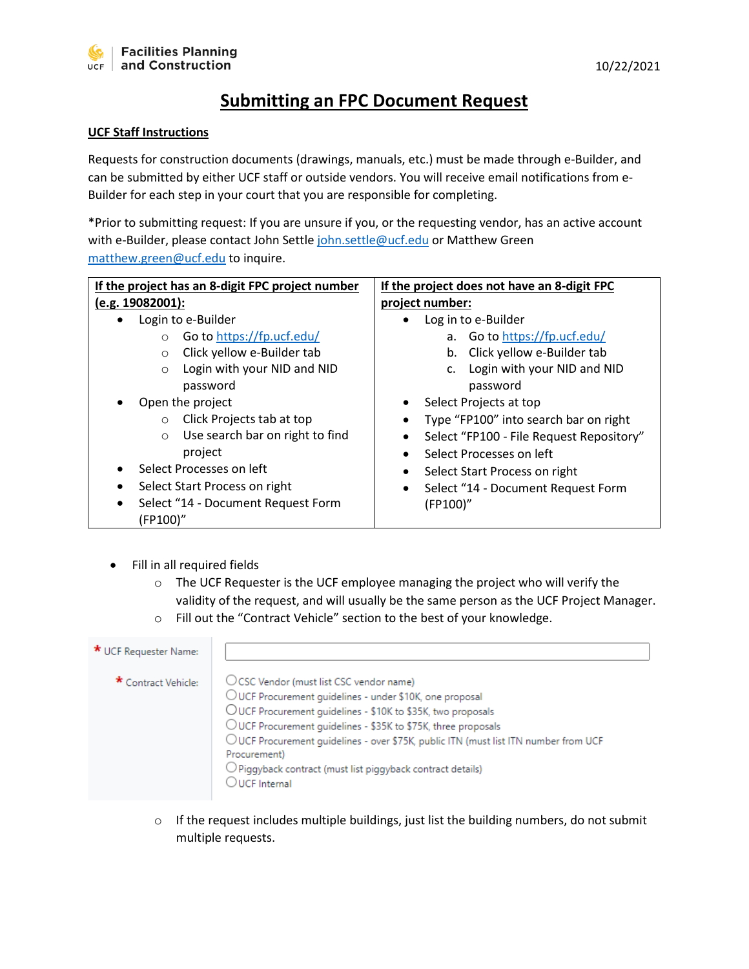## **Submitting an FPC Document Request**

## **UCF Staff Instructions**

Requests for construction documents (drawings, manuals, etc.) must be made through e-Builder, and can be submitted by either UCF staff or outside vendors. You will receive email notifications from e-Builder for each step in your court that you are responsible for completing.

\*Prior to submitting request: If you are unsure if you, or the requesting vendor, has an active account with e-Builder, please contact John Settle [john.settle@ucf.edu](mailto:john.settle@ucf.edu) or Matthew Green [matthew.green@ucf.edu](mailto:matthew.green@ucf.edu) to inquire.

| If the project has an 8-digit FPC project number | If the project does not have an 8-digit FPC     |  |  |  |
|--------------------------------------------------|-------------------------------------------------|--|--|--|
| (e.g. 19082001):                                 | project number:                                 |  |  |  |
| Login to e-Builder                               | Log in to e-Builder                             |  |  |  |
| Go to https://fp.ucf.edu/<br>$\circ$             | a. Go to https://fp.ucf.edu/                    |  |  |  |
| Click yellow e-Builder tab<br>$\circ$            | Click yellow e-Builder tab<br>b.                |  |  |  |
| Login with your NID and NID<br>$\circ$           | Login with your NID and NID<br>$\mathsf{C}$ .   |  |  |  |
| password                                         | password                                        |  |  |  |
| Open the project                                 | Select Projects at top                          |  |  |  |
| Click Projects tab at top<br>$\circ$             | Type "FP100" into search bar on right<br>٠      |  |  |  |
| Use search bar on right to find<br>$\circ$       | Select "FP100 - File Request Repository"        |  |  |  |
| project                                          | Select Processes on left                        |  |  |  |
| Select Processes on left                         | Select Start Process on right<br>٠              |  |  |  |
| Select Start Process on right                    | Select "14 - Document Request Form<br>$\bullet$ |  |  |  |
| Select "14 - Document Request Form               | (FP100)"                                        |  |  |  |
| (FP100)"                                         |                                                 |  |  |  |

- Fill in all required fields
	- $\circ$  The UCF Requester is the UCF employee managing the project who will verify the validity of the request, and will usually be the same person as the UCF Project Manager.
	- o Fill out the "Contract Vehicle" section to the best of your knowledge.

| * UCF Requester Name: |                                                                                                                                                                                                                                                                                                                                                                                                                                        |
|-----------------------|----------------------------------------------------------------------------------------------------------------------------------------------------------------------------------------------------------------------------------------------------------------------------------------------------------------------------------------------------------------------------------------------------------------------------------------|
| * Contract Vehicle:   | ○ CSC Vendor (must list CSC vendor name)<br>OUCF Procurement guidelines - under \$10K, one proposal<br>OUCF Procurement guidelines - \$10K to \$35K, two proposals<br>OUCF Procurement guidelines - \$35K to \$75K, three proposals<br>OUCF Procurement guidelines - over \$75K, public ITN (must list ITN number from UCF<br>Procurement)<br>$\bigcirc$ Piggyback contract (must list piggyback contract details)<br>$O$ UCE Internal |

o If the request includes multiple buildings, just list the building numbers, do not submit multiple requests.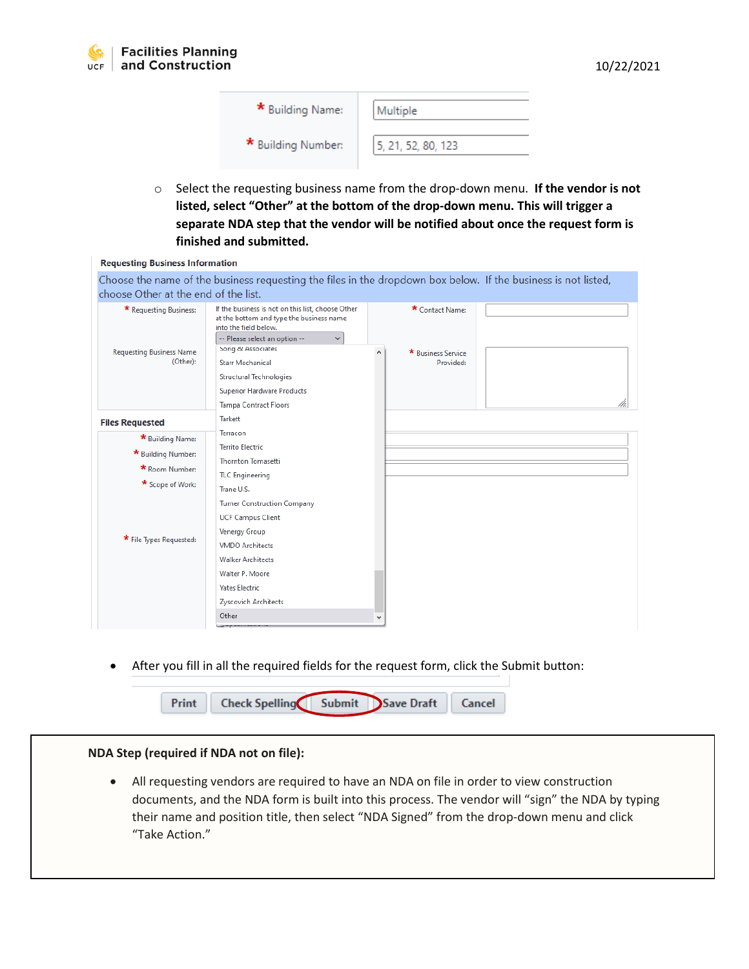| * Building Name:   | Multiple           |
|--------------------|--------------------|
| * Building Number: | 5, 21, 52, 80, 123 |

o Select the requesting business name from the drop-down menu. **If the vendor is not listed, select "Other" at the bottom of the drop-down menu. This will trigger a separate NDA step that the vendor will be notified about once the request form is finished and submitted.** 

| <b>Requesting Business Information</b>                                                                  |                                                                                                                                                                                                                                                                                                    |   |                                                    |  |
|---------------------------------------------------------------------------------------------------------|----------------------------------------------------------------------------------------------------------------------------------------------------------------------------------------------------------------------------------------------------------------------------------------------------|---|----------------------------------------------------|--|
| choose Other at the end of the list.                                                                    | Choose the name of the business requesting the files in the dropdown box below. If the business is not listed,                                                                                                                                                                                     |   |                                                    |  |
| * Requesting Business:<br><b>Requesting Business Name</b><br>(Other):                                   | If the business is not on this list, choose Other<br>at the bottom and type the business name<br>into the field below.<br>-- Please select an option --<br>$\checkmark$<br>Song & Associates<br>Starr Mechanical<br>Structural Technologies<br>Superior Hardware Products<br>Tampa Contract Floors | ۸ | * Contact Name:<br>* Business Service<br>Provided: |  |
| <b>Files Requested</b>                                                                                  | Tarkett                                                                                                                                                                                                                                                                                            |   |                                                    |  |
| * Building Name:<br>* Building Number:<br>* Room Number:<br>* Scope of Work:<br>* File Types Requested: | Terracon<br>Territo Electric<br>Thornton Tomasetti<br>TLC Engineering<br>Trane U.S.<br>Turner Construction Company<br>UCF Campus Client<br>Venergy Group<br><b>VMDO Architects</b><br><b>Walker Architects</b><br>Walter P. Moore<br><b>Yates Electric</b><br>Zyscovich Architects                 |   |                                                    |  |
|                                                                                                         | Other                                                                                                                                                                                                                                                                                              | ٧ |                                                    |  |

• After you fill in all the required fields for the request form, click the Submit button:



## **NDA Step (required if NDA not on file):**

• All requesting vendors are required to have an NDA on file in order to view construction documents, and the NDA form is built into this process. The vendor will "sign" the NDA by typing their name and position title, then select "NDA Signed" from the drop-down menu and click "Take Action."